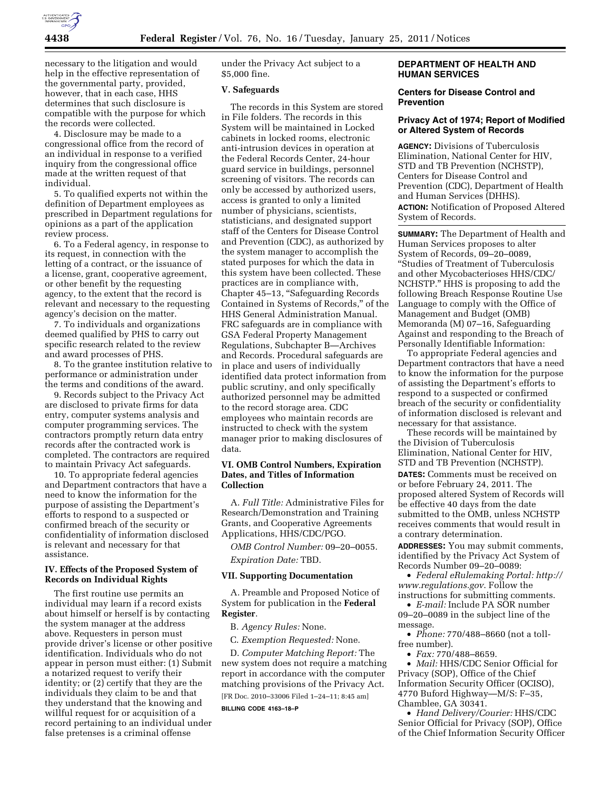

necessary to the litigation and would help in the effective representation of the governmental party, provided, however, that in each case, HHS determines that such disclosure is compatible with the purpose for which the records were collected.

4. Disclosure may be made to a congressional office from the record of an individual in response to a verified inquiry from the congressional office made at the written request of that individual.

5. To qualified experts not within the definition of Department employees as prescribed in Department regulations for opinions as a part of the application review process.

6. To a Federal agency, in response to its request, in connection with the letting of a contract, or the issuance of a license, grant, cooperative agreement, or other benefit by the requesting agency, to the extent that the record is relevant and necessary to the requesting agency's decision on the matter.

7. To individuals and organizations deemed qualified by PHS to carry out specific research related to the review and award processes of PHS.

8. To the grantee institution relative to performance or administration under the terms and conditions of the award.

9. Records subject to the Privacy Act are disclosed to private firms for data entry, computer systems analysis and computer programming services. The contractors promptly return data entry records after the contracted work is completed. The contractors are required to maintain Privacy Act safeguards.

10. To appropriate federal agencies and Department contractors that have a need to know the information for the purpose of assisting the Department's efforts to respond to a suspected or confirmed breach of the security or confidentiality of information disclosed is relevant and necessary for that assistance.

#### **IV. Effects of the Proposed System of Records on Individual Rights**

The first routine use permits an individual may learn if a record exists about himself or herself is by contacting the system manager at the address above. Requesters in person must provide driver's license or other positive identification. Individuals who do not appear in person must either: (1) Submit a notarized request to verify their identity; or (2) certify that they are the individuals they claim to be and that they understand that the knowing and willful request for or acquisition of a record pertaining to an individual under false pretenses is a criminal offense

under the Privacy Act subject to a \$5,000 fine.

#### **V. Safeguards**

The records in this System are stored in File folders. The records in this System will be maintained in Locked cabinets in locked rooms, electronic anti-intrusion devices in operation at the Federal Records Center, 24-hour guard service in buildings, personnel screening of visitors. The records can only be accessed by authorized users, access is granted to only a limited number of physicians, scientists, statisticians, and designated support staff of the Centers for Disease Control and Prevention (CDC), as authorized by the system manager to accomplish the stated purposes for which the data in this system have been collected. These practices are in compliance with, Chapter 45–13, ''Safeguarding Records Contained in Systems of Records,'' of the HHS General Administration Manual. FRC safeguards are in compliance with GSA Federal Property Management Regulations, Subchapter B—Archives and Records. Procedural safeguards are in place and users of individually identified data protect information from public scrutiny, and only specifically authorized personnel may be admitted to the record storage area. CDC employees who maintain records are instructed to check with the system manager prior to making disclosures of data.

## **VI. OMB Control Numbers, Expiration Dates, and Titles of Information Collection**

A. *Full Title:* Administrative Files for Research/Demonstration and Training Grants, and Cooperative Agreements Applications, HHS/CDC/PGO.

*OMB Control Number:* 09–20–0055. *Expiration Date:* TBD.

#### **VII. Supporting Documentation**

A. Preamble and Proposed Notice of System for publication in the **Federal Register**.

B. *Agency Rules:* None.

C. *Exemption Requested:* None.

D. *Computer Matching Report:* The new system does not require a matching report in accordance with the computer matching provisions of the Privacy Act. [FR Doc. 2010–33006 Filed 1–24–11; 8:45 am]

#### **BILLING CODE 4163–18–P**

## **DEPARTMENT OF HEALTH AND HUMAN SERVICES**

#### **Centers for Disease Control and Prevention**

#### **Privacy Act of 1974; Report of Modified or Altered System of Records**

**AGENCY:** Divisions of Tuberculosis Elimination, National Center for HIV, STD and TB Prevention (NCHSTP), Centers for Disease Control and Prevention (CDC), Department of Health and Human Services (DHHS).

**ACTION:** Notification of Proposed Altered System of Records.

**SUMMARY:** The Department of Health and Human Services proposes to alter System of Records, 09–20–0089, ''Studies of Treatment of Tuberculosis and other Mycobacterioses HHS/CDC/ NCHSTP.'' HHS is proposing to add the following Breach Response Routine Use Language to comply with the Office of Management and Budget (OMB) Memoranda (M) 07–16, Safeguarding Against and responding to the Breach of Personally Identifiable Information:

To appropriate Federal agencies and Department contractors that have a need to know the information for the purpose of assisting the Department's efforts to respond to a suspected or confirmed breach of the security or confidentiality of information disclosed is relevant and necessary for that assistance.

These records will be maintained by the Division of Tuberculosis Elimination, National Center for HIV, STD and TB Prevention (NCHSTP).

**DATES:** Comments must be received on or before February 24, 2011. The proposed altered System of Records will be effective 40 days from the date submitted to the OMB, unless NCHSTP receives comments that would result in a contrary determination.

**ADDRESSES:** You may submit comments, identified by the Privacy Act System of Records Number 09–20–0089:

• *Federal eRulemaking Portal: [http://](http://www.regulations.gov)  [www.regulations.gov](http://www.regulations.gov)*. Follow the instructions for submitting comments.

• *E-mail:* Include PA SOR number 09–20–0089 in the subject line of the message.

• *Phone:* 770/488–8660 (not a tollfree number).

• *Fax:* 770/488–8659.

• *Mail:* HHS/CDC Senior Official for Privacy (SOP), Office of the Chief Information Security Officer (OCISO), 4770 Buford Highway—M/S: F–35, Chamblee, GA 30341.

• *Hand Delivery/Courier:* HHS/CDC Senior Official for Privacy (SOP), Office of the Chief Information Security Officer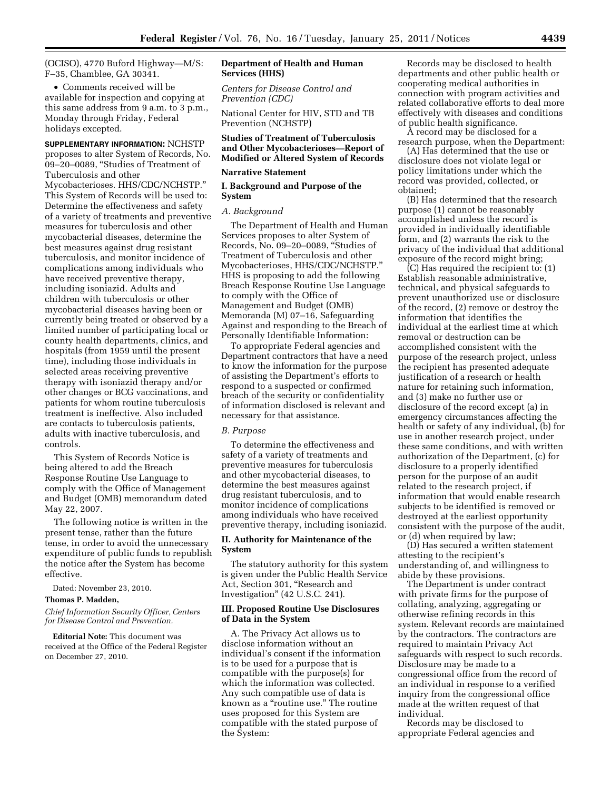(OCISO), 4770 Buford Highway—M/S: F–35, Chamblee, GA 30341.

• Comments received will be available for inspection and copying at this same address from 9 a.m. to 3 p.m., Monday through Friday, Federal holidays excepted.

**SUPPLEMENTARY INFORMATION:** NCHSTP proposes to alter System of Records, No. 09–20–0089, ''Studies of Treatment of Tuberculosis and other Mycobacterioses. HHS/CDC/NCHSTP.'' This System of Records will be used to: Determine the effectiveness and safety of a variety of treatments and preventive measures for tuberculosis and other mycobacterial diseases, determine the best measures against drug resistant tuberculosis, and monitor incidence of complications among individuals who have received preventive therapy, including isoniazid. Adults and children with tuberculosis or other mycobacterial diseases having been or currently being treated or observed by a limited number of participating local or county health departments, clinics, and hospitals (from 1959 until the present time), including those individuals in selected areas receiving preventive therapy with isoniazid therapy and/or other changes or BCG vaccinations, and patients for whom routine tuberculosis treatment is ineffective. Also included are contacts to tuberculosis patients, adults with inactive tuberculosis, and controls.

This System of Records Notice is being altered to add the Breach Response Routine Use Language to comply with the Office of Management and Budget (OMB) memorandum dated May 22, 2007.

The following notice is written in the present tense, rather than the future tense, in order to avoid the unnecessary expenditure of public funds to republish the notice after the System has become effective.

Dated: November 23, 2010.

## **Thomas P. Madden,**

*Chief Information Security Officer, Centers for Disease Control and Prevention.* 

**Editorial Note:** This document was received at the Office of the Federal Register on December 27, 2010.

#### **Department of Health and Human Services (HHS)**

*Centers for Disease Control and Prevention (CDC)* 

National Center for HIV, STD and TB Prevention (NCHSTP)

## **Studies of Treatment of Tuberculosis and Other Mycobacterioses—Report of Modified or Altered System of Records**

#### **Narrative Statement**

## **I. Background and Purpose of the System**

#### *A. Background*

The Department of Health and Human Services proposes to alter System of Records, No. 09–20–0089, ''Studies of Treatment of Tuberculosis and other Mycobacterioses, HHS/CDC/NCHSTP.'' HHS is proposing to add the following Breach Response Routine Use Language to comply with the Office of Management and Budget (OMB) Memoranda (M) 07–16, Safeguarding Against and responding to the Breach of Personally Identifiable Information:

To appropriate Federal agencies and Department contractors that have a need to know the information for the purpose of assisting the Department's efforts to respond to a suspected or confirmed breach of the security or confidentiality of information disclosed is relevant and necessary for that assistance.

## *B. Purpose*

To determine the effectiveness and safety of a variety of treatments and preventive measures for tuberculosis and other mycobacterial diseases, to determine the best measures against drug resistant tuberculosis, and to monitor incidence of complications among individuals who have received preventive therapy, including isoniazid.

#### **II. Authority for Maintenance of the System**

The statutory authority for this system is given under the Public Health Service Act, Section 301, "Research and Investigation'' (42 U.S.C. 241).

#### **III. Proposed Routine Use Disclosures of Data in the System**

A. The Privacy Act allows us to disclose information without an individual's consent if the information is to be used for a purpose that is compatible with the purpose(s) for which the information was collected. Any such compatible use of data is known as a "routine use." The routine uses proposed for this System are compatible with the stated purpose of the System:

Records may be disclosed to health departments and other public health or cooperating medical authorities in connection with program activities and related collaborative efforts to deal more effectively with diseases and conditions of public health significance.

A record may be disclosed for a research purpose, when the Department:

(A) Has determined that the use or disclosure does not violate legal or policy limitations under which the record was provided, collected, or obtained;

(B) Has determined that the research purpose (1) cannot be reasonably accomplished unless the record is provided in individually identifiable form, and (2) warrants the risk to the privacy of the individual that additional exposure of the record might bring;

(C) Has required the recipient to: (1) Establish reasonable administrative, technical, and physical safeguards to prevent unauthorized use or disclosure of the record, (2) remove or destroy the information that identifies the individual at the earliest time at which removal or destruction can be accomplished consistent with the purpose of the research project, unless the recipient has presented adequate justification of a research or health nature for retaining such information, and (3) make no further use or disclosure of the record except (a) in emergency circumstances affecting the health or safety of any individual, (b) for use in another research project, under these same conditions, and with written authorization of the Department, (c) for disclosure to a properly identified person for the purpose of an audit related to the research project, if information that would enable research subjects to be identified is removed or destroyed at the earliest opportunity consistent with the purpose of the audit, or (d) when required by law;

(D) Has secured a written statement attesting to the recipient's understanding of, and willingness to abide by these provisions.

The Department is under contract with private firms for the purpose of collating, analyzing, aggregating or otherwise refining records in this system. Relevant records are maintained by the contractors. The contractors are required to maintain Privacy Act safeguards with respect to such records. Disclosure may be made to a congressional office from the record of an individual in response to a verified inquiry from the congressional office made at the written request of that individual.

Records may be disclosed to appropriate Federal agencies and